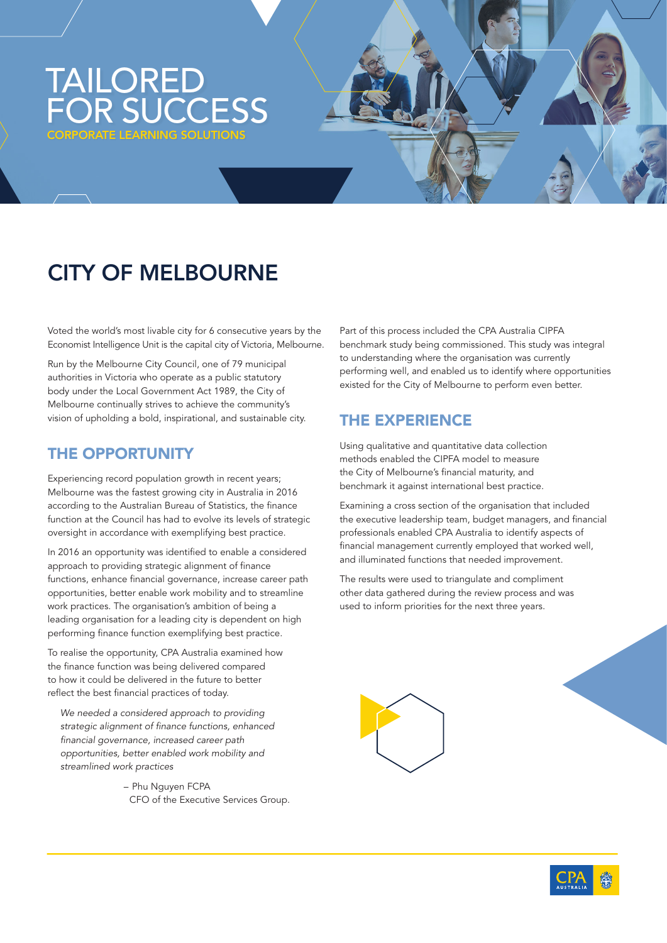## TAILORED FOR SUCCESS PORATE LEARNING SOLUTIONS

# CITY OF MELBOURNE

Voted the world's most livable city for 6 consecutive years by the Economist Intelligence Unit is the capital city of Victoria, Melbourne.

Run by the Melbourne City Council, one of 79 municipal authorities in Victoria who operate as a public statutory body under the Local Government Act 1989, the City of Melbourne continually strives to achieve the community's vision of upholding a bold, inspirational, and sustainable city.

#### THE OPPORTUNITY

Experiencing record population growth in recent years; Melbourne was the fastest growing city in Australia in 2016 according to the Australian Bureau of Statistics, the finance function at the Council has had to evolve its levels of strategic oversight in accordance with exemplifying best practice.

In 2016 an opportunity was identified to enable a considered approach to providing strategic alignment of finance functions, enhance financial governance, increase career path opportunities, better enable work mobility and to streamline work practices. The organisation's ambition of being a leading organisation for a leading city is dependent on high performing finance function exemplifying best practice.

To realise the opportunity, CPA Australia examined how the finance function was being delivered compared to how it could be delivered in the future to better reflect the best financial practices of today.

*We needed a considered approach to providing strategic alignment of finance functions, enhanced financial governance, increased career path opportunities, better enabled work mobility and streamlined work practices*

> – Phu Nguyen FCPA CFO of the Executive Services Group.

Part of this process included the CPA Australia CIPFA benchmark study being commissioned. This study was integral to understanding where the organisation was currently performing well, and enabled us to identify where opportunities existed for the City of Melbourne to perform even better.

## THE EXPERIENCE

Using qualitative and quantitative data collection methods enabled the CIPFA model to measure the City of Melbourne's financial maturity, and benchmark it against international best practice.

Examining a cross section of the organisation that included the executive leadership team, budget managers, and financial professionals enabled CPA Australia to identify aspects of financial management currently employed that worked well, and illuminated functions that needed improvement.

The results were used to triangulate and compliment other data gathered during the review process and was used to inform priorities for the next three years.